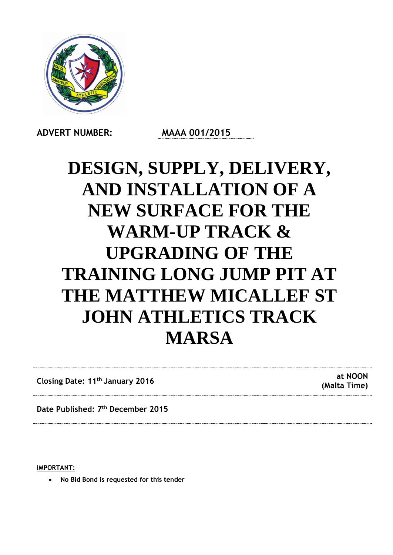

**ADVERT NUMBER: MAAA 001/2015**

# **DESIGN, SUPPLY, DELIVERY, AND INSTALLATION OF A NEW SURFACE FOR THE WARM-UP TRACK & UPGRADING OF THE TRAINING LONG JUMP PIT AT THE MATTHEW MICALLEF ST JOHN ATHLETICS TRACK MARSA**

**Closing Date: <sup>11</sup>th January 2016 at NOON** 

**(Malta Time)**

**Date Published: 7 th December 2015**

**IMPORTANT:**

**No Bid Bond is requested for this tender**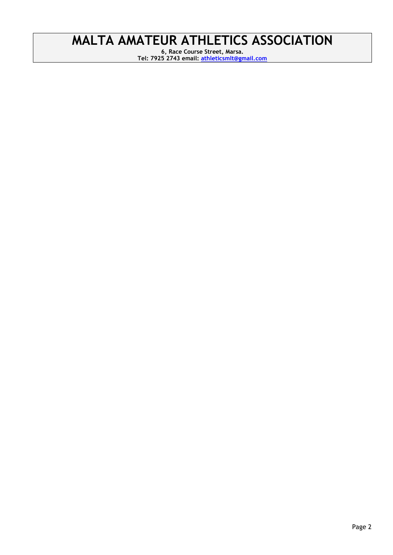# **MALTA AMATEUR ATHLETICS ASSOCIATION**

**6, Race Course Street, Marsa. Tel: 7925 2743 email: [athleticsmlt@gmail.com](mailto:athleticsmlt@gmail.com)**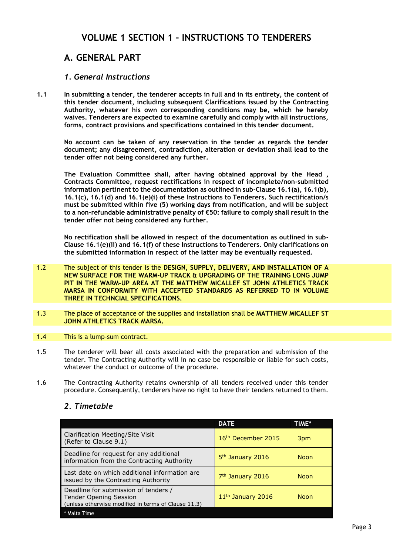# **VOLUME 1 SECTION 1 – INSTRUCTIONS TO TENDERERS**

# **A. GENERAL PART**

# *1. General Instructions*

**1.1 In submitting a tender, the tenderer accepts in full and in its entirety, the content of this tender document, including subsequent Clarifications issued by the Contracting Authority, whatever his own corresponding conditions may be, which he hereby waives. Tenderers are expected to examine carefully and comply with all instructions, forms, contract provisions and specifications contained in this tender document.** 

**No account can be taken of any reservation in the tender as regards the tender document; any disagreement, contradiction, alteration or deviation shall lead to the tender offer not being considered any further.** 

**The Evaluation Committee shall, after having obtained approval by the Head , Contracts Committee, request rectifications in respect of incomplete/non-submitted information pertinent to the documentation as outlined in sub-Clause 16.1(a), 16.1(b), 16.1(c), 16.1(d) and 16.1(e)(i) of these Instructions to Tenderers. Such rectification/s must be submitted within five (5) working days from notification, and will be subject to a non-refundable administrative penalty of €50: failure to comply shall result in the tender offer not being considered any further.**

**No rectification shall be allowed in respect of the documentation as outlined in sub-Clause 16.1(e)(ii) and 16.1(f) of these Instructions to Tenderers. Only clarifications on the submitted information in respect of the latter may be eventually requested.**

- 1.2 The subject of this tender is the **DESIGN, SUPPLY, DELIVERY, AND INSTALLATION OF A NEW SURFACE FOR THE WARM-UP TRACK & UPGRADING OF THE TRAINING LONG JUMP PIT IN THE WARM-UP AREA AT THE MATTHEW MICALLEF ST JOHN ATHLETICS TRACK MARSA IN CONFORMITY WITH ACCEPTED STANDARDS AS REFERRED TO IN VOLUME THREE IN TECHNCIAL SPECIFICATIONS.**
- 1.3 The place of acceptance of the supplies and installation shall be **MATTHEW MICALLEF ST JOHN ATHLETICS TRACK MARSA.**
- 1.4 This is a lump-sum contract.
- 1.5 The tenderer will bear all costs associated with the preparation and submission of the tender. The Contracting Authority will in no case be responsible or liable for such costs, whatever the conduct or outcome of the procedure.
- 1.6 The Contracting Authority retains ownership of all tenders received under this tender procedure. Consequently, tenderers have no right to have their tenders returned to them.

# *2. Timetable*

|                                                                                                                              | <b>DATE</b>                    | TIME*       |
|------------------------------------------------------------------------------------------------------------------------------|--------------------------------|-------------|
| Clarification Meeting/Site Visit<br>(Refer to Clause 9.1)                                                                    | 16 <sup>th</sup> December 2015 | 3pm         |
| Deadline for request for any additional<br>information from the Contracting Authority                                        | 5 <sup>th</sup> January 2016   | <b>Noon</b> |
| Last date on which additional information are<br>issued by the Contracting Authority                                         | 7 <sup>th</sup> January 2016   | <b>Noon</b> |
| Deadline for submission of tenders /<br><b>Tender Opening Session</b><br>(unless otherwise modified in terms of Clause 11.3) | 11 <sup>th</sup> January 2016  | <b>Noon</b> |
| * Malta Time                                                                                                                 |                                |             |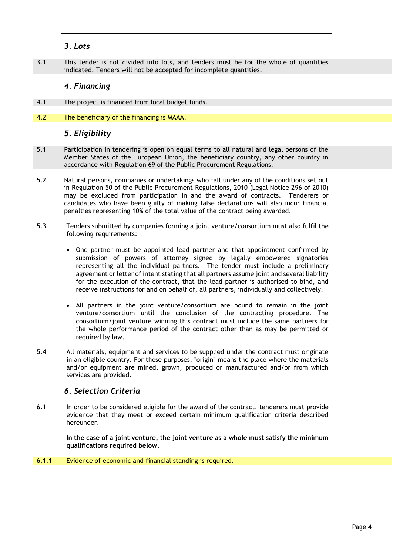### *3. Lots*

3.1 This tender is not divided into lots, and tenders must be for the whole of quantities indicated. Tenders will not be accepted for incomplete quantities.

### *4. Financing*

4.1 The project is financed from local budget funds.

4.2 The beneficiary of the financing is MAAA.

### *5. Eligibility*

- 5.1 Participation in tendering is open on equal terms to all natural and legal persons of the Member States of the European Union, the beneficiary country, any other country in accordance with Regulation 69 of the Public Procurement Regulations.
- 5.2 Natural persons, companies or undertakings who fall under any of the conditions set out in Regulation 50 of the Public Procurement Regulations, 2010 (Legal Notice 296 of 2010) may be excluded from participation in and the award of contracts. Tenderers or candidates who have been guilty of making false declarations will also incur financial penalties representing 10% of the total value of the contract being awarded.
- 5.3 Tenders submitted by companies forming a joint venture/consortium must also fulfil the following requirements:
	- One partner must be appointed lead partner and that appointment confirmed by submission of powers of attorney signed by legally empowered signatories representing all the individual partners. The tender must include a preliminary agreement or letter of intent stating that all partners assume joint and several liability for the execution of the contract, that the lead partner is authorised to bind, and receive instructions for and on behalf of, all partners, individually and collectively.
	- All partners in the joint venture/consortium are bound to remain in the joint venture/consortium until the conclusion of the contracting procedure. The consortium/joint venture winning this contract must include the same partners for the whole performance period of the contract other than as may be permitted or required by law.
- 5.4 All materials, equipment and services to be supplied under the contract must originate in an eligible country. For these purposes, "origin" means the place where the materials and/or equipment are mined, grown, produced or manufactured and/or from which services are provided.

# *6. Selection Criteria*

6.1 In order to be considered eligible for the award of the contract, tenderers must provide evidence that they meet or exceed certain minimum qualification criteria described hereunder.

**In the case of a joint venture, the joint venture as a whole must satisfy the minimum qualifications required below.**

#### 6.1.1 Evidence of economic and financial standing is required.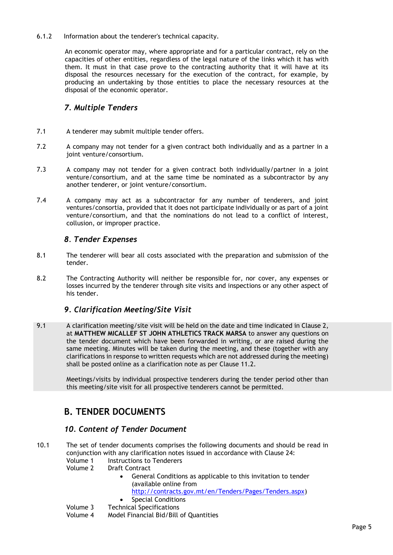6.1.2 Information about the tenderer's technical capacity.

An economic operator may, where appropriate and for a particular contract, rely on the capacities of other entities, regardless of the legal nature of the links which it has with them. It must in that case prove to the contracting authority that it will have at its disposal the resources necessary for the execution of the contract, for example, by producing an undertaking by those entities to place the necessary resources at the disposal of the economic operator.

# *7. Multiple Tenders*

- 7.1 A tenderer may submit multiple tender offers.
- 7.2 A company may not tender for a given contract both individually and as a partner in a joint venture/consortium.
- 7.3 A company may not tender for a given contract both individually/partner in a joint venture/consortium, and at the same time be nominated as a subcontractor by any another tenderer, or joint venture/consortium.
- 7.4 A company may act as a subcontractor for any number of tenderers, and joint ventures/consortia, provided that it does not participate individually or as part of a joint venture/consortium, and that the nominations do not lead to a conflict of interest, collusion, or improper practice.

### *8. Tender Expenses*

- 8.1 The tenderer will bear all costs associated with the preparation and submission of the tender.
- 8.2 The Contracting Authority will neither be responsible for, nor cover, any expenses or losses incurred by the tenderer through site visits and inspections or any other aspect of his tender.

# *9. Clarification Meeting/Site Visit*

9.1 A clarification meeting/site visit will be held on the date and time indicated in Clause 2, at **MATTHEW MICALLEF ST JOHN ATHLETICS TRACK MARSA** to answer any questions on the tender document which have been forwarded in writing, or are raised during the same meeting. Minutes will be taken during the meeting, and these (together with any clarifications in response to written requests which are not addressed during the meeting) shall be posted online as a clarification note as per Clause 11.2.

> Meetings/visits by individual prospective tenderers during the tender period other than this meeting/site visit for all prospective tenderers cannot be permitted.

# **B. TENDER DOCUMENTS**

# *10. Content of Tender Document*

10.1 The set of tender documents comprises the following documents and should be read in conjunction with any clarification notes issued in accordance with Clause 24: Volume 1 Instructions to Tenderers

Volume 2 Draft Contract

- General Conditions as applicable to this invitation to tender (available online from [http://contracts.gov.mt/en/Tenders/Pages/Tenders.aspx\)](http://contracts.gov.mt/en/Tenders/Pages/Tenders.aspx)
- Special Conditions
- Volume 3 Technical Specifications
- Volume 4 Model Financial Bid/Bill of Quantities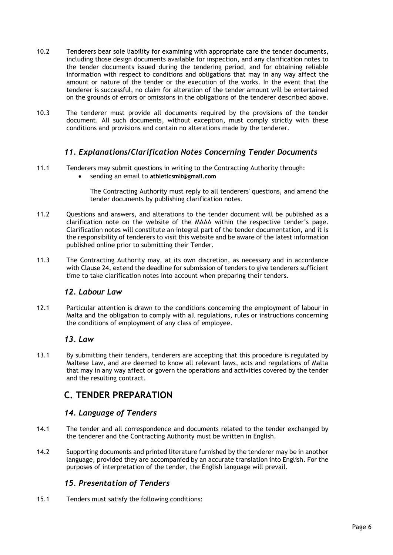- 10.2 Tenderers bear sole liability for examining with appropriate care the tender documents, including those design documents available for inspection, and any clarification notes to the tender documents issued during the tendering period, and for obtaining reliable information with respect to conditions and obligations that may in any way affect the amount or nature of the tender or the execution of the works. In the event that the tenderer is successful, no claim for alteration of the tender amount will be entertained on the grounds of errors or omissions in the obligations of the tenderer described above.
- 10.3 The tenderer must provide all documents required by the provisions of the tender document. All such documents, without exception, must comply strictly with these conditions and provisions and contain no alterations made by the tenderer.

# *11. Explanations/Clarification Notes Concerning Tender Documents*

- 11.1 Tenderers may submit questions in writing to the Contracting Authority through:
	- sending an email to **athleticsmlt@gmail.com**

The Contracting Authority must reply to all tenderers' questions, and amend the tender documents by publishing clarification notes.

- 11.2 Questions and answers, and alterations to the tender document will be published as a clarification note on the website of the MAAA within the respective tender's page. Clarification notes will constitute an integral part of the tender documentation, and it is the responsibility of tenderers to visit this website and be aware of the latest information published online prior to submitting their Tender.
- 11.3 The Contracting Authority may, at its own discretion, as necessary and in accordance with Clause 24, extend the deadline for submission of tenders to give tenderers sufficient time to take clarification notes into account when preparing their tenders.

# *12. Labour Law*

12.1 Particular attention is drawn to the conditions concerning the employment of labour in Malta and the obligation to comply with all regulations, rules or instructions concerning the conditions of employment of any class of employee.

# *13. Law*

13.1 By submitting their tenders, tenderers are accepting that this procedure is regulated by Maltese Law, and are deemed to know all relevant laws, acts and regulations of Malta that may in any way affect or govern the operations and activities covered by the tender and the resulting contract.

# **C. TENDER PREPARATION**

# *14. Language of Tenders*

- 14.1 The tender and all correspondence and documents related to the tender exchanged by the tenderer and the Contracting Authority must be written in English.
- 14.2 Supporting documents and printed literature furnished by the tenderer may be in another language, provided they are accompanied by an accurate translation into English. For the purposes of interpretation of the tender, the English language will prevail.

# *15. Presentation of Tenders*

15.1 Tenders must satisfy the following conditions: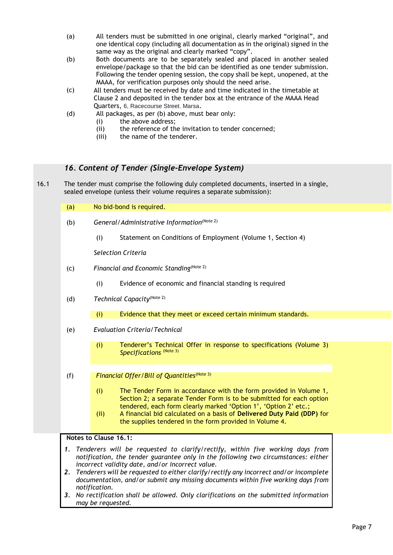- (a) All tenders must be submitted in one original, clearly marked "original", and one identical copy (including all documentation as in the original) signed in the same way as the original and clearly marked "copy".
- (b) Both documents are to be separately sealed and placed in another sealed envelope/package so that the bid can be identified as one tender submission. Following the tender opening session, the copy shall be kept, unopened, at the MAAA, for verification purposes only should the need arise.
- (c) All tenders must be received by date and time indicated in the timetable at Clause 2 and deposited in the tender box at the entrance of the MAAA Head Quarters, 6, Racecourse Street. Marsa.
- (d) All packages, as per (b) above, must bear only:
	- (i) the above address;
		- (ii) the reference of the invitation to tender concerned;
		- (iii) the name of the tenderer.

# *16. Content of Tender (Single-Envelope System)*

16.1 The tender must comprise the following duly completed documents, inserted in a single, sealed envelope (unless their volume requires a separate submission):

(a) No bid-bond is required.

- (b) *General/Administrative Information*(Note 2)
	- (i) Statement on Conditions of Employment (Volume 1, Section 4)

*Selection Criteria*

- (c) *Financial and Economic Standing*(Note 2)
	- (i) Evidence of economic and financial standing is required
- (d) *Technical Capacity*(Note 2)
	- (i) Evidence that they meet or exceed certain minimum standards.
- (e) *Evaluation Criteria/Technical* 
	- (i) Tenderer's Technical Offer in response to specifications (Volume 3) *Specifications* (Note 3)
- (f) *Financial Offer/Bill of Quantities*(Note 3)
	- (i) The Tender Form in accordance with the form provided in Volume 1, Section 2; a separate Tender Form is to be submitted for each option tendered, each form clearly marked 'Option 1', 'Option 2' etc.;
	- (ii) A financial bid calculated on a basis of **Delivered Duty Paid (DDP)** for the supplies tendered in the form provided in Volume 4.

### **Notes to Clause 16.1:**

- *1. Tenderers will be requested to clarify/rectify, within five working days from notification, the tender guarantee only in the following two circumstances: either incorrect validity date, and/or incorrect value.*
- *2. Tenderers will be requested to either clarify/rectify any incorrect and/or incomplete documentation, and/or submit any missing documents within five working days from notification.*
- *3. No rectification shall be allowed. Only clarifications on the submitted information may be requested.*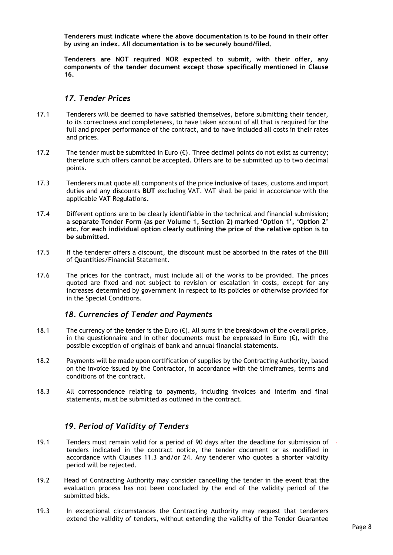**Tenderers must indicate where the above documentation is to be found in their offer by using an index. All documentation is to be securely bound/filed.** 

**Tenderers are NOT required NOR expected to submit, with their offer, any components of the tender document except those specifically mentioned in Clause 16.**

#### *17. Tender Prices*

- 17.1 Tenderers will be deemed to have satisfied themselves, before submitting their tender, to its correctness and completeness, to have taken account of all that is required for the full and proper performance of the contract, and to have included all costs in their rates and prices.
- 17.2 The tender must be submitted in Euro  $(\epsilon)$ . Three decimal points do not exist as currency; therefore such offers cannot be accepted. Offers are to be submitted up to two decimal points.
- 17.3 Tenderers must quote all components of the price **inclusive** of taxes, customs and import duties and any discounts **BUT** excluding VAT. VAT shall be paid in accordance with the applicable VAT Regulations.
- 17.4 Different options are to be clearly identifiable in the technical and financial submission; **a separate Tender Form (as per Volume 1, Section 2) marked 'Option 1', 'Option 2' etc. for each individual option clearly outlining the price of the relative option is to be submitted.**
- 17.5 If the tenderer offers a discount, the discount must be absorbed in the rates of the Bill of Quantities/Financial Statement.
- 17.6 The prices for the contract, must include all of the works to be provided. The prices quoted are fixed and not subject to revision or escalation in costs, except for any increases determined by government in respect to its policies or otherwise provided for in the Special Conditions.

### *18. Currencies of Tender and Payments*

- 18.1 The currency of the tender is the Euro  $(\epsilon)$ . All sums in the breakdown of the overall price, in the questionnaire and in other documents must be expressed in Euro  $(\epsilon)$ , with the possible exception of originals of bank and annual financial statements.
- 18.2 Payments will be made upon certification of supplies by the Contracting Authority, based on the invoice issued by the Contractor, in accordance with the timeframes, terms and conditions of the contract.
- 18.3 All correspondence relating to payments, including invoices and interim and final statements, must be submitted as outlined in the contract.

# *19. Period of Validity of Tenders*

- 19.1 Tenders must remain valid for a period of 90 days after the deadline for submission of tenders indicated in the contract notice, the tender document or as modified in accordance with Clauses 11.3 and/or 24. Any tenderer who quotes a shorter validity period will be rejected.
- 19.2 Head of Contracting Authority may consider cancelling the tender in the event that the evaluation process has not been concluded by the end of the validity period of the submitted bids.
- 19.3 In exceptional circumstances the Contracting Authority may request that tenderers extend the validity of tenders, without extending the validity of the Tender Guarantee

*.*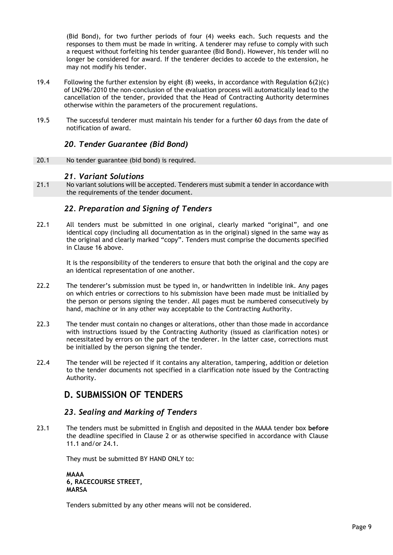(Bid Bond), for two further periods of four (4) weeks each. Such requests and the responses to them must be made in writing. A tenderer may refuse to comply with such a request without forfeiting his tender guarantee (Bid Bond). However, his tender will no longer be considered for award. If the tenderer decides to accede to the extension, he may not modify his tender.

- 19.4 Following the further extension by eight  $(8)$  weeks, in accordance with Regulation  $6(2)(c)$ of LN296/2010 the non-conclusion of the evaluation process will automatically lead to the cancellation of the tender, provided that the Head of Contracting Authority determines otherwise within the parameters of the procurement regulations.
- 19.5 The successful tenderer must maintain his tender for a further 60 days from the date of notification of award.

# *20. Tender Guarantee (Bid Bond)*

20.1 No tender guarantee (bid bond) is required.

#### *21. Variant Solutions*

21.1 No variant solutions will be accepted. Tenderers must submit a tender in accordance with the requirements of the tender document.

### *22. Preparation and Signing of Tenders*

22.1 All tenders must be submitted in one original, clearly marked "original", and one identical copy (including all documentation as in the original) signed in the same way as the original and clearly marked "copy". Tenders must comprise the documents specified in Clause 16 above.

It is the responsibility of the tenderers to ensure that both the original and the copy are an identical representation of one another.

- 22.2 The tenderer's submission must be typed in, or handwritten in indelible ink. Any pages on which entries or corrections to his submission have been made must be initialled by the person or persons signing the tender. All pages must be numbered consecutively by hand, machine or in any other way acceptable to the Contracting Authority.
- 22.3 The tender must contain no changes or alterations, other than those made in accordance with instructions issued by the Contracting Authority (issued as clarification notes) or necessitated by errors on the part of the tenderer. In the latter case, corrections must be initialled by the person signing the tender.
- 22.4 The tender will be rejected if it contains any alteration, tampering, addition or deletion to the tender documents not specified in a clarification note issued by the Contracting Authority.

# **D. SUBMISSION OF TENDERS**

# *23. Sealing and Marking of Tenders*

23.1 The tenders must be submitted in English and deposited in the MAAA tender box **before** the deadline specified in Clause 2 or as otherwise specified in accordance with Clause 11.1 and/or 24.1.

They must be submitted BY HAND ONLY to:

**MAAA 6, RACECOURSE STREET, MARSA**

Tenders submitted by any other means will not be considered.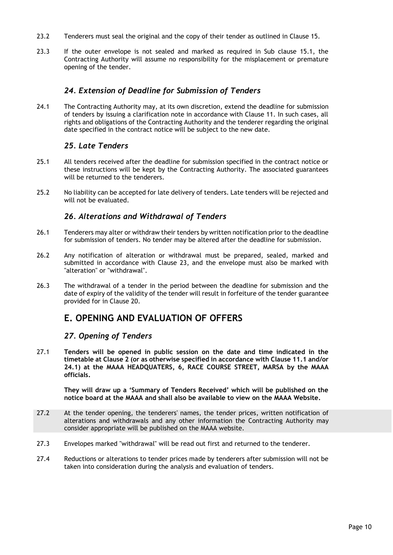- 23.2 Tenderers must seal the original and the copy of their tender as outlined in Clause 15.
- 23.3 If the outer envelope is not sealed and marked as required in Sub clause 15.1, the Contracting Authority will assume no responsibility for the misplacement or premature opening of the tender.

# *24. Extension of Deadline for Submission of Tenders*

24.1 The Contracting Authority may, at its own discretion, extend the deadline for submission of tenders by issuing a clarification note in accordance with Clause 11. In such cases, all rights and obligations of the Contracting Authority and the tenderer regarding the original date specified in the contract notice will be subject to the new date.

# *25. Late Tenders*

- 25.1 All tenders received after the deadline for submission specified in the contract notice or these instructions will be kept by the Contracting Authority. The associated guarantees will be returned to the tenderers.
- 25.2 No liability can be accepted for late delivery of tenders. Late tenders will be rejected and will not be evaluated.

# *26. Alterations and Withdrawal of Tenders*

- 26.1 Tenderers may alter or withdraw their tenders by written notification prior to the deadline for submission of tenders. No tender may be altered after the deadline for submission.
- 26.2 Any notification of alteration or withdrawal must be prepared, sealed, marked and submitted in accordance with Clause 23, and the envelope must also be marked with "alteration" or "withdrawal".
- 26.3 The withdrawal of a tender in the period between the deadline for submission and the date of expiry of the validity of the tender will result in forfeiture of the tender guarantee provided for in Clause 20.

# **E. OPENING AND EVALUATION OF OFFERS**

# *27. Opening of Tenders*

27.1 **Tenders will be opened in public session on the date and time indicated in the timetable at Clause 2 (or as otherwise specified in accordance with Clause 11.1 and/or 24.1) at the MAAA HEADQUATERS, 6, RACE COURSE STREET, MARSA by the MAAA officials.** 

**They will draw up a 'Summary of Tenders Received' which will be published on the notice board at the MAAA and shall also be available to view on the MAAA Website.**

- 27.2 At the tender opening, the tenderers' names, the tender prices, written notification of alterations and withdrawals and any other information the Contracting Authority may consider appropriate will be published on the MAAA website.
- 27.3 Envelopes marked "withdrawal" will be read out first and returned to the tenderer.
- 27.4 Reductions or alterations to tender prices made by tenderers after submission will not be taken into consideration during the analysis and evaluation of tenders.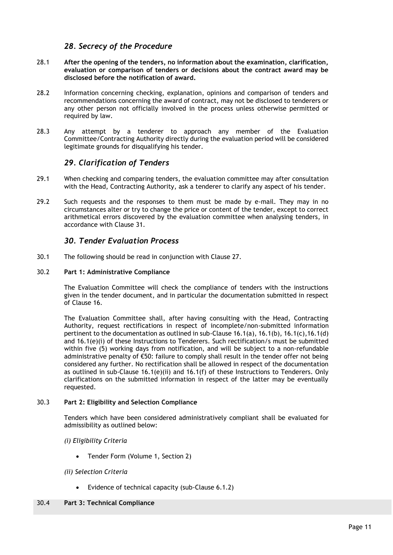### *28. Secrecy of the Procedure*

- 28.1 **After the opening of the tenders, no information about the examination, clarification, evaluation or comparison of tenders or decisions about the contract award may be disclosed before the notification of award.**
- 28.2 Information concerning checking, explanation, opinions and comparison of tenders and recommendations concerning the award of contract, may not be disclosed to tenderers or any other person not officially involved in the process unless otherwise permitted or required by law.
- 28.3 Any attempt by a tenderer to approach any member of the Evaluation Committee/Contracting Authority directly during the evaluation period will be considered legitimate grounds for disqualifying his tender.

### *29. Clarification of Tenders*

- 29.1 When checking and comparing tenders, the evaluation committee may after consultation with the Head, Contracting Authority, ask a tenderer to clarify any aspect of his tender.
- 29.2 Such requests and the responses to them must be made by e-mail. They may in no circumstances alter or try to change the price or content of the tender, except to correct arithmetical errors discovered by the evaluation committee when analysing tenders, in accordance with Clause 31.

### *30. Tender Evaluation Process*

30.1 The following should be read in conjunction with Clause 27.

#### 30.2 **Part 1: Administrative Compliance**

The Evaluation Committee will check the compliance of tenders with the instructions given in the tender document, and in particular the documentation submitted in respect of Clause 16.

The Evaluation Committee shall, after having consulting with the Head, Contracting Authority, request rectifications in respect of incomplete/non-submitted information pertinent to the documentation as outlined in sub-Clause 16.1(a), 16.1(b), 16.1(c),16.1(d) and 16.1(e)(i) of these Instructions to Tenderers. Such rectification/s must be submitted within five (5) working days from notification, and will be subject to a non-refundable administrative penalty of €50: failure to comply shall result in the tender offer not being considered any further. No rectification shall be allowed in respect of the documentation as outlined in sub-Clause 16.1(e)(ii) and 16.1(f) of these Instructions to Tenderers. Only clarifications on the submitted information in respect of the latter may be eventually requested.

#### 30.3 **Part 2: Eligibility and Selection Compliance**

Tenders which have been considered administratively compliant shall be evaluated for admissibility as outlined below:

#### *(i) Eligibility Criteria*

• Tender Form (Volume 1, Section 2)

#### *(ii) Selection Criteria*

Evidence of technical capacity (sub-Clause 6.1.2)

#### 30.4 **Part 3: Technical Compliance**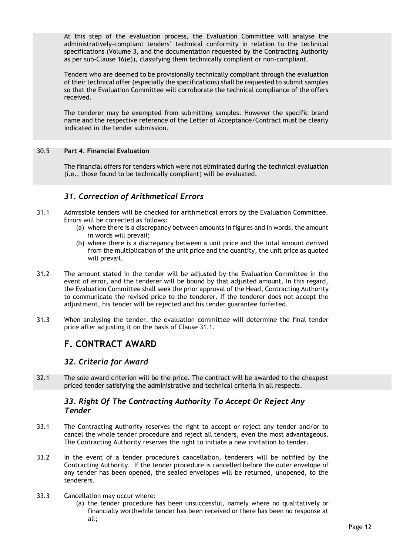At this step of the evaluation process, the Evaluation Committee will analyse the administratively-compliant tenders' technical conformity in relation to the technical specifications (Volume 3, and the documentation requested by the Contracting Authority as per sub-Clause 16(e)), classifying them technically compliant or non-compliant.

Tenders who are deemed to be provisionally technically compliant through the evaluation of their technical offer (especially the specifications) shall be requested to submit samples so that the Evaluation Committee will corroborate the technical compliance of the offers received.

The tenderer may be exempted from submitting samples. However the specific brand name and the respective reference of the Letter of Acceptance/Contract must be clearly indicated in the tender submission.

#### 30.5 **Part 4. Financial Evaluation**

The financial offers for tenders which were not eliminated during the technical evaluation (i.e., those found to be technically compliant) will be evaluated.

# *31. Correction of Arithmetical Errors*

- 31.1 Admissible tenders will be checked for arithmetical errors by the Evaluation Committee. Errors will be corrected as follows:
	- (a) where there is a discrepancy between amounts in figures and in words, the amount in words will prevail;
	- (b) where there is a discrepancy between a unit price and the total amount derived from the multiplication of the unit price and the quantity, the unit price as quoted will prevail.
- 31.2 The amount stated in the tender will be adjusted by the Evaluation Committee in the event of error, and the tenderer will be bound by that adjusted amount. In this regard, the Evaluation Committee shall seek the prior approval of the Head, Contracting Authority to communicate the revised price to the tenderer. If the tenderer does not accept the adjustment, his tender will be rejected and his tender guarantee forfeited.
- 31.3 When analysing the tender, the evaluation committee will determine the final tender price after adjusting it on the basis of Clause 31.1.

# **F. CONTRACT AWARD**

### *32. Criteria for Award*

32.1 The sole award criterion will be the price. The contract will be awarded to the cheapest priced tender satisfying the administrative and technical criteria in all respects.

### *33. Right Of The Contracting Authority To Accept Or Reject Any Tender*

- 33.1 The Contracting Authority reserves the right to accept or reject any tender and/or to cancel the whole tender procedure and reject all tenders, even the most advantageous. The Contracting Authority reserves the right to initiate a new invitation to tender.
- 33.2 In the event of a tender procedure's cancellation, tenderers will be notified by the Contracting Authority. If the tender procedure is cancelled before the outer envelope of any tender has been opened, the sealed envelopes will be returned, unopened, to the tenderers.
- 33.3 Cancellation may occur where:
	- (a) the tender procedure has been unsuccessful, namely where no qualitatively or financially worthwhile tender has been received or there has been no response at all;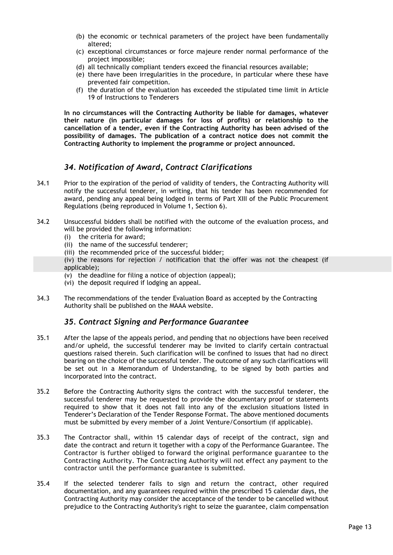- (b) the economic or technical parameters of the project have been fundamentally altered;
- (c) exceptional circumstances or force majeure render normal performance of the project impossible;
- (d) all technically compliant tenders exceed the financial resources available;
- (e) there have been irregularities in the procedure, in particular where these have prevented fair competition.
- (f) the duration of the evaluation has exceeded the stipulated time limit in Article 19 of Instructions to Tenderers

**In no circumstances will the Contracting Authority be liable for damages, whatever their nature (in particular damages for loss of profits) or relationship to the cancellation of a tender, even if the Contracting Authority has been advised of the possibility of damages. The publication of a contract notice does not commit the Contracting Authority to implement the programme or project announced.**

### *34. Notification of Award, Contract Clarifications*

- 34.1 Prior to the expiration of the period of validity of tenders, the Contracting Authority will notify the successful tenderer, in writing, that his tender has been recommended for award, pending any appeal being lodged in terms of Part XIII of the Public Procurement Regulations (being reproduced in Volume 1, Section 6).
- 34.2 Unsuccessful bidders shall be notified with the outcome of the evaluation process, and will be provided the following information:
	- (i) the criteria for award;
	- (ii) the name of the successful tenderer;
	- (iii) the recommended price of the successful bidder;
	- (iv) the reasons for rejection / notification that the offer was not the cheapest (if applicable);
	- (v) the deadline for filing a notice of objection (appeal);
		- (vi) the deposit required if lodging an appeal.
- 34.3 The recommendations of the tender Evaluation Board as accepted by the Contracting Authority shall be published on the MAAA website.

### *35. Contract Signing and Performance Guarantee*

- 35.1 After the lapse of the appeals period, and pending that no objections have been received and/or upheld, the successful tenderer may be invited to clarify certain contractual questions raised therein. Such clarification will be confined to issues that had no direct bearing on the choice of the successful tender. The outcome of any such clarifications will be set out in a Memorandum of Understanding, to be signed by both parties and incorporated into the contract.
- 35.2 Before the Contracting Authority signs the contract with the successful tenderer, the successful tenderer may be requested to provide the documentary proof or statements required to show that it does not fall into any of the exclusion situations listed in Tenderer's Declaration of the Tender Response Format. The above mentioned documents must be submitted by every member of a Joint Venture/Consortium (if applicable).
- 35.3 The Contractor shall, within 15 calendar days of receipt of the contract, sign and date the contract and return it together with a copy of the Performance Guarantee. The Contractor is further obliged to forward the original performance guarantee to the Contracting Authority. The Contracting Authority will not effect any payment to the contractor until the performance guarantee is submitted.
- 35.4 If the selected tenderer fails to sign and return the contract, other required documentation, and any guarantees required within the prescribed 15 calendar days, the Contracting Authority may consider the acceptance of the tender to be cancelled without prejudice to the Contracting Authority's right to seize the guarantee, claim compensation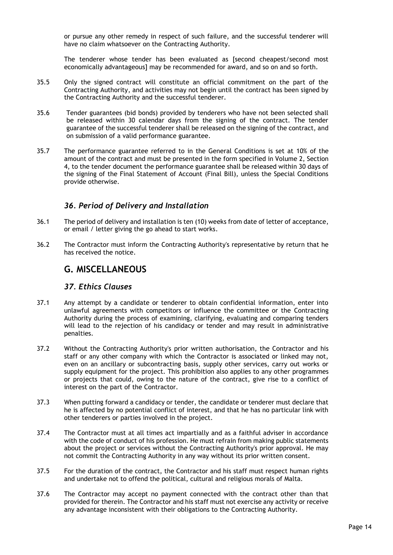or pursue any other remedy in respect of such failure, and the successful tenderer will have no claim whatsoever on the Contracting Authority.

The tenderer whose tender has been evaluated as [second cheapest/second most economically advantageous] may be recommended for award, and so on and so forth.

- 35.5 Only the signed contract will constitute an official commitment on the part of the Contracting Authority, and activities may not begin until the contract has been signed by the Contracting Authority and the successful tenderer.
- 35.6 Tender guarantees (bid bonds) provided by tenderers who have not been selected shall be released within 30 calendar days from the signing of the contract. The tender guarantee of the successful tenderer shall be released on the signing of the contract, and on submission of a valid performance guarantee.
- 35.7 The performance guarantee referred to in the General Conditions is set at 10% of the amount of the contract and must be presented in the form specified in Volume 2, Section 4, to the tender document the performance guarantee shall be released within 30 days of the signing of the Final Statement of Account (Final Bill), unless the Special Conditions provide otherwise.

### *36. Period of Delivery and Installation*

- 36.1 The period of delivery and installation is ten (10) weeks from date of letter of acceptance, or email / letter giving the go ahead to start works.
- 36.2 The Contractor must inform the Contracting Authority's representative by return that he has received the notice.

# **G. MISCELLANEOUS**

### *37. Ethics Clauses*

- 37.1 Any attempt by a candidate or tenderer to obtain confidential information, enter into unlawful agreements with competitors or influence the committee or the Contracting Authority during the process of examining, clarifying, evaluating and comparing tenders will lead to the rejection of his candidacy or tender and may result in administrative penalties.
- 37.2 Without the Contracting Authority's prior written authorisation, the Contractor and his staff or any other company with which the Contractor is associated or linked may not, even on an ancillary or subcontracting basis, supply other services, carry out works or supply equipment for the project. This prohibition also applies to any other programmes or projects that could, owing to the nature of the contract, give rise to a conflict of interest on the part of the Contractor.
- 37.3 When putting forward a candidacy or tender, the candidate or tenderer must declare that he is affected by no potential conflict of interest, and that he has no particular link with other tenderers or parties involved in the project.
- 37.4 The Contractor must at all times act impartially and as a faithful adviser in accordance with the code of conduct of his profession. He must refrain from making public statements about the project or services without the Contracting Authority's prior approval. He may not commit the Contracting Authority in any way without its prior written consent.
- 37.5 For the duration of the contract, the Contractor and his staff must respect human rights and undertake not to offend the political, cultural and religious morals of Malta.
- 37.6 The Contractor may accept no payment connected with the contract other than that provided for therein. The Contractor and his staff must not exercise any activity or receive any advantage inconsistent with their obligations to the Contracting Authority.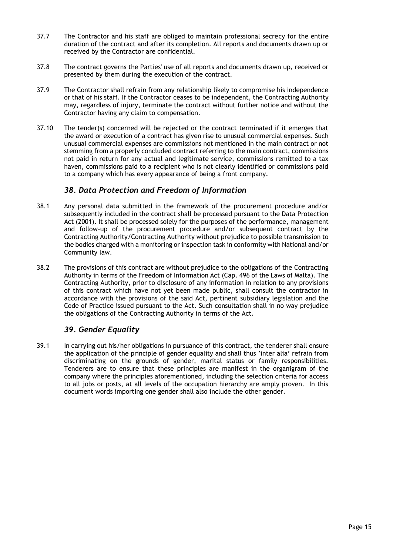- 37.7 The Contractor and his staff are obliged to maintain professional secrecy for the entire duration of the contract and after its completion. All reports and documents drawn up or received by the Contractor are confidential.
- 37.8 The contract governs the Parties' use of all reports and documents drawn up, received or presented by them during the execution of the contract.
- 37.9 The Contractor shall refrain from any relationship likely to compromise his independence or that of his staff. If the Contractor ceases to be independent, the Contracting Authority may, regardless of injury, terminate the contract without further notice and without the Contractor having any claim to compensation.
- 37.10 The tender(s) concerned will be rejected or the contract terminated if it emerges that the award or execution of a contract has given rise to unusual commercial expenses. Such unusual commercial expenses are commissions not mentioned in the main contract or not stemming from a properly concluded contract referring to the main contract, commissions not paid in return for any actual and legitimate service, commissions remitted to a tax haven, commissions paid to a recipient who is not clearly identified or commissions paid to a company which has every appearance of being a front company.

# *38. Data Protection and Freedom of Information*

- 38.1 Any personal data submitted in the framework of the procurement procedure and/or subsequently included in the contract shall be processed pursuant to the Data Protection Act (2001). It shall be processed solely for the purposes of the performance, management and follow-up of the procurement procedure and/or subsequent contract by the Contracting Authority/Contracting Authority without prejudice to possible transmission to the bodies charged with a monitoring or inspection task in conformity with National and/or Community law.
- 38.2 The provisions of this contract are without prejudice to the obligations of the Contracting Authority in terms of the Freedom of Information Act (Cap. 496 of the Laws of Malta). The Contracting Authority, prior to disclosure of any information in relation to any provisions of this contract which have not yet been made public, shall consult the contractor in accordance with the provisions of the said Act, pertinent subsidiary legislation and the Code of Practice issued pursuant to the Act. Such consultation shall in no way prejudice the obligations of the Contracting Authority in terms of the Act.

# *39. Gender Equality*

39.1 In carrying out his/her obligations in pursuance of this contract, the tenderer shall ensure the application of the principle of gender equality and shall thus 'inter alia' refrain from discriminating on the grounds of gender, marital status or family responsibilities. Tenderers are to ensure that these principles are manifest in the organigram of the company where the principles aforementioned, including the selection criteria for access to all jobs or posts, at all levels of the occupation hierarchy are amply proven. In this document words importing one gender shall also include the other gender.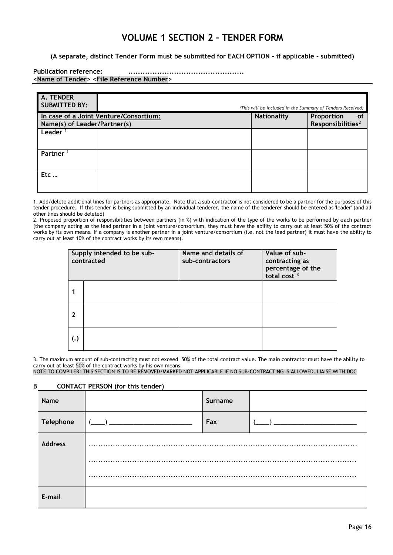# **VOLUME 1 SECTION 2 – TENDER FORM**

#### **(A separate, distinct Tender Form must be submitted for EACH OPTION – if applicable - submitted)**

#### **Publication reference: ................................................ <Name of Tender> <File Reference Number>**

| A. TENDER<br><b>SUBMITTED BY:</b> |                                        |                    | (This will be included in the Summary of Tenders Received) |
|-----------------------------------|----------------------------------------|--------------------|------------------------------------------------------------|
| Name(s) of Leader/Partner(s)      | In case of a Joint Venture/Consortium: | <b>Nationality</b> | Proportion<br><b>of</b><br>Responsibilities <sup>2</sup>   |
| Leader <sup>1</sup>               |                                        |                    |                                                            |
| Partner <sup>1</sup>              |                                        |                    |                                                            |
| $EtC$                             |                                        |                    |                                                            |

1. Add/delete additional lines for partners as appropriate. Note that a sub-contractor is not considered to be a partner for the purposes of this tender procedure. If this tender is being submitted by an individual tenderer, the name of the tenderer should be entered as 'leader' (and all other lines should be deleted)

2. Proposed proportion of responsibilities between partners (in %) with indication of the type of the works to be performed by each partner (the company acting as the lead partner in a joint venture/consortium, they must have the ability to carry out at least 50% of the contract works by its own means. If a company is another partner in a joint venture/consortium (i.e. not the lead partner) it must have the ability to carry out at least 10% of the contract works by its own means).

|                    | Supply intended to be sub-<br>contracted | Name and details of<br>sub-contractors | Value of sub-<br>contracting as<br>percentage of the<br>total cost <sup>3</sup> |
|--------------------|------------------------------------------|----------------------------------------|---------------------------------------------------------------------------------|
|                    |                                          |                                        |                                                                                 |
|                    |                                          |                                        |                                                                                 |
| $\left( . \right)$ |                                          |                                        |                                                                                 |

3. The maximum amount of sub-contracting must not exceed 50% of the total contract value. The main contractor must have the ability to carry out at least 50% of the contract works by his own means. NOTE TO COMPILER: THIS SECTION IS TO BE REMOVED/MARKED NOT APPLICABLE IF NO SUB-CONTRACTING IS ALLOWED. LIAISE WITH DOC

#### **B CONTACT PERSON (for this tender)**

| Name             |       | Surname |  |
|------------------|-------|---------|--|
| <b>Telephone</b> |       | Fax     |  |
| <b>Address</b>   |       |         |  |
|                  | <br>. |         |  |
| E-mail           |       |         |  |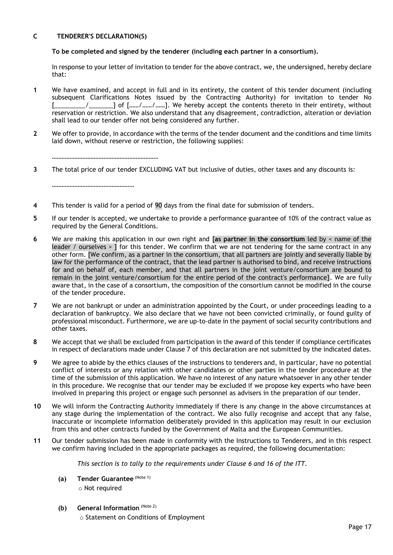#### **C TENDERER'S DECLARATION(S)**

**To be completed and signed by the tenderer (including each partner in a consortium).**

In response to your letter of invitation to tender for the above contract, we, the undersigned, hereby declare that:

- **1** We have examined, and accept in full and in its entirety, the content of this tender document (including subsequent Clarifications Notes issued by the Contracting Authority) for invitation to tender No [\_\_\_\_\_\_\_\_\_/\_\_\_\_\_\_\_] of [……/……/……]. We hereby accept the contents thereto in their entirety, without reservation or restriction. We also understand that any disagreement, contradiction, alteration or deviation shall lead to our tender offer not being considered any further.
- **2** We offer to provide, in accordance with the terms of the tender document and the conditions and time limits laid down, without reserve or restriction, the following supplies:

…………………………………………………………

**3** The total price of our tender EXCLUDING VAT but inclusive of duties, other taxes and any discounts is:

……………………………………………

- **4** This tender is valid for a period of 90 days from the final date for submission of tenders.
- **5** If our tender is accepted, we undertake to provide a performance guarantee of 10% of the contract value as required by the General Conditions.
- **6** We are making this application in our own right and [**as partner in the consortium** led by < name of the leader / ourselves > ] for this tender. We confirm that we are not tendering for the same contract in any other form. [We confirm, as a partner in the consortium, that all partners are jointly and severally liable by law for the performance of the contract, that the lead partner is authorised to bind, and receive instructions for and on behalf of, each member, and that all partners in the joint venture/consortium are bound to remain in the joint venture/consortium for the entire period of the contract's performance]. We are fully aware that, in the case of a consortium, the composition of the consortium cannot be modified in the course of the tender procedure.
- **7** We are not bankrupt or under an administration appointed by the Court, or under proceedings leading to a declaration of bankruptcy. We also declare that we have not been convicted criminally, or found guilty of professional misconduct. Furthermore, we are up-to-date in the payment of social security contributions and other taxes.
- **8** We accept that we shall be excluded from participation in the award of this tender if compliance certificates in respect of declarations made under Clause 7 of this declaration are not submitted by the indicated dates.
- **9** We agree to abide by the ethics clauses of the instructions to tenderers and, in particular, have no potential conflict of interests or any relation with other candidates or other parties in the tender procedure at the time of the submission of this application. We have no interest of any nature whatsoever in any other tender in this procedure. We recognise that our tender may be excluded if we propose key experts who have been involved in preparing this project or engage such personnel as advisers in the preparation of our tender.
- **10** We will inform the Contracting Authority immediately if there is any change in the above circumstances at any stage during the implementation of the contract. We also fully recognise and accept that any false, inaccurate or incomplete information deliberately provided in this application may result in our exclusion from this and other contracts funded by the Government of Malta and the European Communities.
- **11** Our tender submission has been made in conformity with the Instructions to Tenderers, and in this respect we confirm having included in the appropriate packages as required, the following documentation:

*This section is to tally to the requirements under Clause 6 and 16 of the ITT.*

- **(a) Tender Guarantee** (Note 1) o Not required
- **(b) General Information** (Note 2) o Statement on Conditions of Employment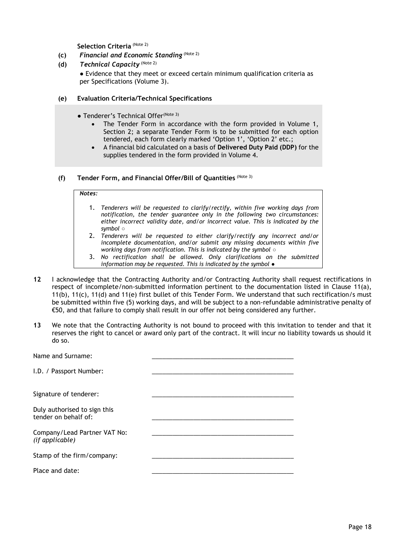**Selection Criteria** (Note 2)

- **(c)** *Financial and Economic Standing* (Note 2)
- **(d)** *Technical Capacity* (Note 2)

● Evidence that they meet or exceed certain minimum qualification criteria as per Specifications (Volume 3).

#### **(e) Evaluation Criteria/Technical Specifications**

- Tenderer's Technical Offer(Note 3)
	- The Tender Form in accordance with the form provided in Volume 1, Section 2; a separate Tender Form is to be submitted for each option tendered, each form clearly marked 'Option 1', 'Option 2' etc.;
	- A financial bid calculated on a basis of **Delivered Duty Paid (DDP)** for the supplies tendered in the form provided in Volume 4.

#### **(f) Tender Form, and Financial Offer/Bill of Quantities** (Note 3)

#### *Notes:*

- 1. *Tenderers will be requested to clarify/rectify, within five working days from notification, the tender guarantee only in the following two circumstances: either incorrect validity date, and/or incorrect value. This is indicated by the symbol ○*
- 2. *Tenderers will be requested to either clarify/rectify any incorrect and/or incomplete documentation, and/or submit any missing documents within five working days from notification. This is indicated by the symbol ○*
- 3. *No rectification shall be allowed. Only clarifications on the submitted information may be requested. This is indicated by the symbol ●*
- **12** I acknowledge that the Contracting Authority and/or Contracting Authority shall request rectifications in respect of incomplete/non-submitted information pertinent to the documentation listed in Clause 11(a), 11(b), 11(c), 11(d) and 11(e) first bullet of this Tender Form. We understand that such rectification/s must be submitted within five (5) working days, and will be subject to a non-refundable administrative penalty of €50, and that failure to comply shall result in our offer not being considered any further.
- **13** We note that the Contracting Authority is not bound to proceed with this invitation to tender and that it reserves the right to cancel or award only part of the contract. It will incur no liability towards us should it do so.

| Name and Surname:                                    |  |
|------------------------------------------------------|--|
| I.D. / Passport Number:                              |  |
| Signature of tenderer:                               |  |
| Duly authorised to sign this<br>tender on behalf of: |  |
| Company/Lead Partner VAT No:<br>(if applicable)      |  |
| Stamp of the firm/company:                           |  |
| Place and date:                                      |  |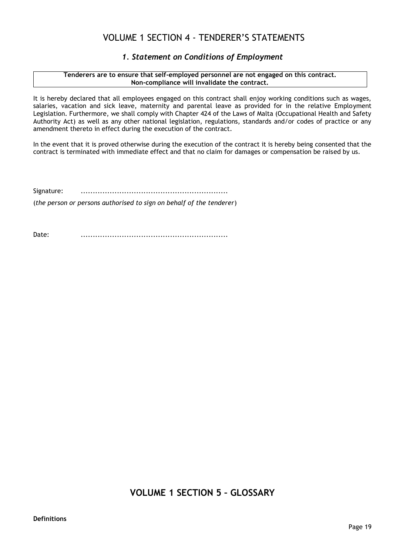# VOLUME 1 SECTION 4 - TENDERER'S STATEMENTS

### *1. Statement on Conditions of Employment*

#### **Tenderers are to ensure that self-employed personnel are not engaged on this contract. Non-compliance will invalidate the contract.**

It is hereby declared that all employees engaged on this contract shall enjoy working conditions such as wages, salaries, vacation and sick leave, maternity and parental leave as provided for in the relative Employment Legislation. Furthermore, we shall comply with Chapter 424 of the Laws of Malta (Occupational Health and Safety Authority Act) as well as any other national legislation, regulations, standards and/or codes of practice or any amendment thereto in effect during the execution of the contract.

In the event that it is proved otherwise during the execution of the contract it is hereby being consented that the contract is terminated with immediate effect and that no claim for damages or compensation be raised by us.

Signature: .............................................................

(*the person or persons authorised to sign on behalf of the tenderer*)

Date: .............................................................

# **VOLUME 1 SECTION 5 – GLOSSARY**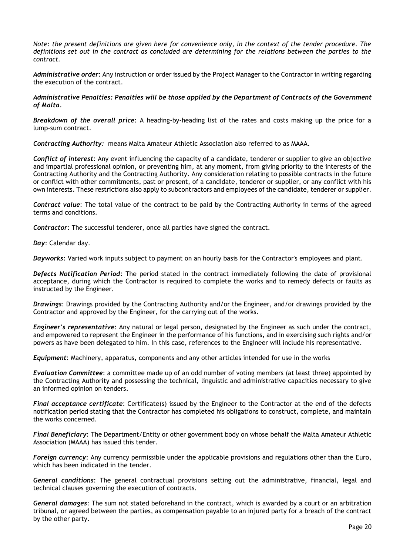*Note: the present definitions are given here for convenience only, in the context of the tender procedure. The definitions set out in the contract as concluded are determining for the relations between the parties to the contract.*

*Administrative order*: Any instruction or order issued by the Project Manager to the Contractor in writing regarding the execution of the contract.

*Administrative Penalties: Penalties will be those applied by the Department of Contracts of the Government of Malta.*

*Breakdown of the overall price*: A heading-by-heading list of the rates and costs making up the price for a lump-sum contract.

*Contracting Authority:* means Malta Amateur Athletic Association also referred to as MAAA.

*Conflict of interest*: Any event influencing the capacity of a candidate, tenderer or supplier to give an objective and impartial professional opinion, or preventing him, at any moment, from giving priority to the interests of the Contracting Authority and the Contracting Authority. Any consideration relating to possible contracts in the future or conflict with other commitments, past or present, of a candidate, tenderer or supplier, or any conflict with his own interests. These restrictions also apply to subcontractors and employees of the candidate, tenderer or supplier.

*Contract value*: The total value of the contract to be paid by the Contracting Authority in terms of the agreed terms and conditions.

*Contractor*: The successful tenderer, once all parties have signed the contract.

*Day*: Calendar day.

*Dayworks*: Varied work inputs subject to payment on an hourly basis for the Contractor's employees and plant.

*Defects Notification Period*: The period stated in the contract immediately following the date of provisional acceptance, during which the Contractor is required to complete the works and to remedy defects or faults as instructed by the Engineer.

*Drawings*: Drawings provided by the Contracting Authority and/or the Engineer, and/or drawings provided by the Contractor and approved by the Engineer, for the carrying out of the works.

*Engineer's representative*: Any natural or legal person, designated by the Engineer as such under the contract, and empowered to represent the Engineer in the performance of his functions, and in exercising such rights and/or powers as have been delegated to him. In this case, references to the Engineer will include his representative.

*Equipment*: Machinery, apparatus, components and any other articles intended for use in the works

*Evaluation Committee*: a committee made up of an odd number of voting members (at least three) appointed by the Contracting Authority and possessing the technical, linguistic and administrative capacities necessary to give an informed opinion on tenders.

*Final acceptance certificate*: Certificate(s) issued by the Engineer to the Contractor at the end of the defects notification period stating that the Contractor has completed his obligations to construct, complete, and maintain the works concerned.

*Final Beneficiary*: The Department/Entity or other government body on whose behalf the Malta Amateur Athletic Association (MAAA) has issued this tender.

*Foreign currency*: Any currency permissible under the applicable provisions and regulations other than the Euro, which has been indicated in the tender.

*General conditions*: The general contractual provisions setting out the administrative, financial, legal and technical clauses governing the execution of contracts.

*General damages*: The sum not stated beforehand in the contract, which is awarded by a court or an arbitration tribunal, or agreed between the parties, as compensation payable to an injured party for a breach of the contract by the other party.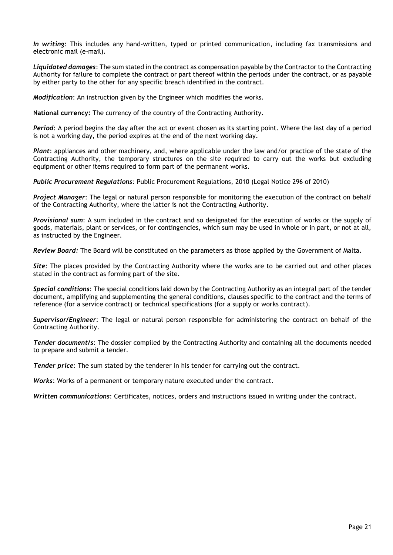*In writing*: This includes any hand-written, typed or printed communication, including fax transmissions and electronic mail (e-mail).

*Liquidated damages*: The sum stated in the contract as compensation payable by the Contractor to the Contracting Authority for failure to complete the contract or part thereof within the periods under the contract, or as payable by either party to the other for any specific breach identified in the contract.

*Modification*: An instruction given by the Engineer which modifies the works.

**National currency:** The currency of the country of the Contracting Authority.

*Period*: A period begins the day after the act or event chosen as its starting point. Where the last day of a period is not a working day, the period expires at the end of the next working day.

*Plant*: appliances and other machinery, and, where applicable under the law and/or practice of the state of the Contracting Authority, the temporary structures on the site required to carry out the works but excluding equipment or other items required to form part of the permanent works.

*Public Procurement Regulations:* Public Procurement Regulations, 2010 (Legal Notice 296 of 2010)

*Project Manager*: The legal or natural person responsible for monitoring the execution of the contract on behalf of the Contracting Authority, where the latter is not the Contracting Authority.

*Provisional sum*: A sum included in the contract and so designated for the execution of works or the supply of goods, materials, plant or services, or for contingencies, which sum may be used in whole or in part, or not at all, as instructed by the Engineer.

*Review Board:* The Board will be constituted on the parameters as those applied by the Government of Malta.

*Site*: The places provided by the Contracting Authority where the works are to be carried out and other places stated in the contract as forming part of the site.

*Special conditions*: The special conditions laid down by the Contracting Authority as an integral part of the tender document, amplifying and supplementing the general conditions, clauses specific to the contract and the terms of reference (for a service contract) or technical specifications (for a supply or works contract).

*Supervisor/Engineer*: The legal or natural person responsible for administering the contract on behalf of the Contracting Authority.

*Tender document/s*: The dossier compiled by the Contracting Authority and containing all the documents needed to prepare and submit a tender.

*Tender price*: The sum stated by the tenderer in his tender for carrying out the contract.

*Works*: Works of a permanent or temporary nature executed under the contract.

*Written communications*: Certificates, notices, orders and instructions issued in writing under the contract.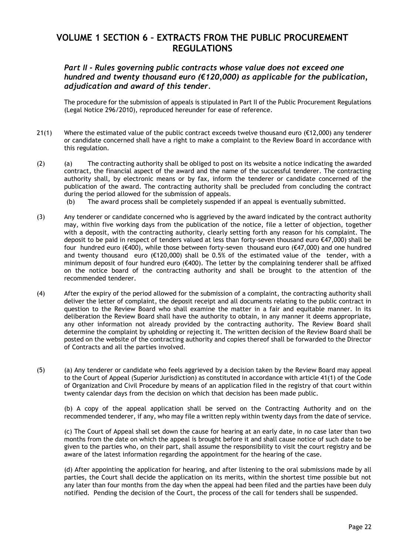# **VOLUME 1 SECTION 6 – EXTRACTS FROM THE PUBLIC PROCUREMENT REGULATIONS**

### *Part II - Rules governing public contracts whose value does not exceed one hundred and twenty thousand euro (€120,000) as applicable for the publication, adjudication and award of this tender.*

The procedure for the submission of appeals is stipulated in Part II of the Public Procurement Regulations (Legal Notice 296/2010), reproduced hereunder for ease of reference.

- 21(1) Where the estimated value of the public contract exceeds twelve thousand euro ( $\epsilon$ 12,000) any tenderer or candidate concerned shall have a right to make a complaint to the Review Board in accordance with this regulation.
- (2) (a) The contracting authority shall be obliged to post on its website a notice indicating the awarded contract, the financial aspect of the award and the name of the successful tenderer. The contracting authority shall, by electronic means or by fax, inform the tenderer or candidate concerned of the publication of the award. The contracting authority shall be precluded from concluding the contract during the period allowed for the submission of appeals.
	- (b) The award process shall be completely suspended if an appeal is eventually submitted.
- (3) Any tenderer or candidate concerned who is aggrieved by the award indicated by the contract authority may, within five working days from the publication of the notice, file a letter of objection, together with a deposit, with the contracting authority, clearly setting forth any reason for his complaint. The deposit to be paid in respect of tenders valued at less than forty-seven thousand euro €47,000) shall be four hundred euro (€400), while those between forty-seven thousand euro (€47,000) and one hundred and twenty thousand euro (€120,000) shall be 0.5% of the estimated value of the tender, with a minimum deposit of four hundred euro (€400). The letter by the complaining tenderer shall be affixed on the notice board of the contracting authority and shall be brought to the attention of the recommended tenderer.
- (4) After the expiry of the period allowed for the submission of a complaint, the contracting authority shall deliver the letter of complaint, the deposit receipt and all documents relating to the public contract in question to the Review Board who shall examine the matter in a fair and equitable manner. In its deliberation the Review Board shall have the authority to obtain, in any manner it deems appropriate, any other information not already provided by the contracting authority. The Review Board shall determine the complaint by upholding or rejecting it. The written decision of the Review Board shall be posted on the website of the contracting authority and copies thereof shall be forwarded to the Director of Contracts and all the parties involved.
- (5) (a) Any tenderer or candidate who feels aggrieved by a decision taken by the Review Board may appeal to the Court of Appeal (Superior Jurisdiction) as constituted in accordance with article 41(1) of the Code of Organization and Civil Procedure by means of an application filed in the registry of that court within twenty calendar days from the decision on which that decision has been made public.

(b) A copy of the appeal application shall be served on the Contracting Authority and on the recommended tenderer, if any, who may file a written reply within twenty days from the date of service.

(c) The Court of Appeal shall set down the cause for hearing at an early date, in no case later than two months from the date on which the appeal is brought before it and shall cause notice of such date to be given to the parties who, on their part, shall assume the responsibility to visit the court registry and be aware of the latest information regarding the appointment for the hearing of the case.

(d) After appointing the application for hearing, and after listening to the oral submissions made by all parties, the Court shall decide the application on its merits, within the shortest time possible but not any later than four months from the day when the appeal had been filed and the parties have been duly notified. Pending the decision of the Court, the process of the call for tenders shall be suspended.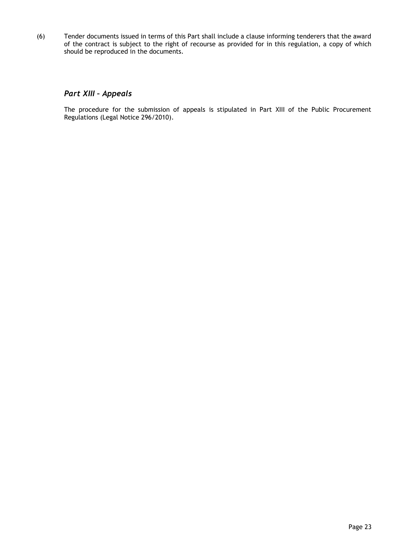(6) Tender documents issued in terms of this Part shall include a clause informing tenderers that the award of the contract is subject to the right of recourse as provided for in this regulation, a copy of which should be reproduced in the documents.

# *Part XIII – Appeals*

The procedure for the submission of appeals is stipulated in Part XIII of the Public Procurement Regulations (Legal Notice 296/2010).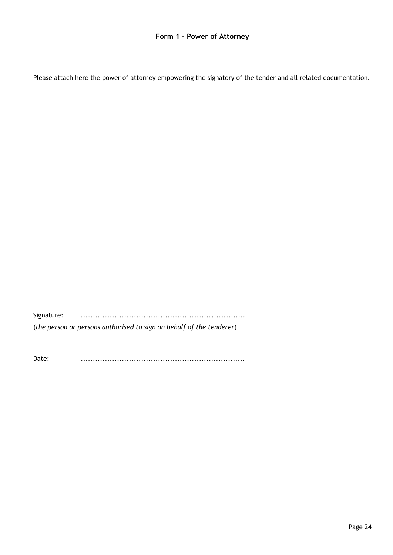Please attach here the power of attorney empowering the signatory of the tender and all related documentation.

Signature: .................................................................... (*the person or persons authorised to sign on behalf of the tenderer*)

Date: ....................................................................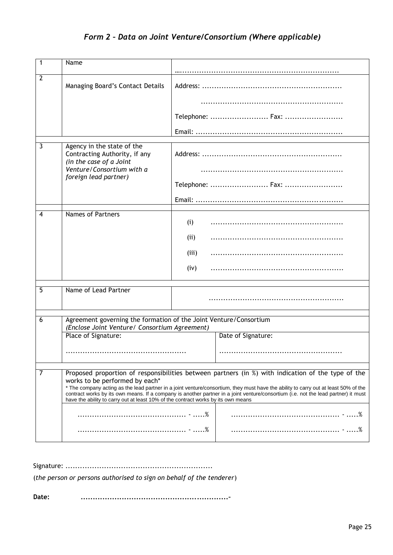# *Form 2 – Data on Joint Venture/Consortium (Where applicable)*

| 1              | Name                                                                                                                                                                                                                                                                                                                                                                                                                                                                                                   |       |                    |  |
|----------------|--------------------------------------------------------------------------------------------------------------------------------------------------------------------------------------------------------------------------------------------------------------------------------------------------------------------------------------------------------------------------------------------------------------------------------------------------------------------------------------------------------|-------|--------------------|--|
|                |                                                                                                                                                                                                                                                                                                                                                                                                                                                                                                        |       |                    |  |
| $\overline{2}$ | Managing Board's Contact Details                                                                                                                                                                                                                                                                                                                                                                                                                                                                       |       |                    |  |
|                |                                                                                                                                                                                                                                                                                                                                                                                                                                                                                                        |       |                    |  |
|                |                                                                                                                                                                                                                                                                                                                                                                                                                                                                                                        |       | Telephone:  Fax:   |  |
|                |                                                                                                                                                                                                                                                                                                                                                                                                                                                                                                        |       |                    |  |
| 3              | Agency in the state of the<br>Contracting Authority, if any<br>(in the case of a Joint                                                                                                                                                                                                                                                                                                                                                                                                                 |       |                    |  |
|                | Venture/Consortium with a<br>foreign lead partner)                                                                                                                                                                                                                                                                                                                                                                                                                                                     |       |                    |  |
|                |                                                                                                                                                                                                                                                                                                                                                                                                                                                                                                        |       | Telephone:  Fax:   |  |
|                |                                                                                                                                                                                                                                                                                                                                                                                                                                                                                                        |       |                    |  |
|                |                                                                                                                                                                                                                                                                                                                                                                                                                                                                                                        |       |                    |  |
| 4              | Names of Partners                                                                                                                                                                                                                                                                                                                                                                                                                                                                                      | (i)   |                    |  |
|                |                                                                                                                                                                                                                                                                                                                                                                                                                                                                                                        | (ii)  |                    |  |
|                |                                                                                                                                                                                                                                                                                                                                                                                                                                                                                                        | (iii) |                    |  |
|                |                                                                                                                                                                                                                                                                                                                                                                                                                                                                                                        | (iv)  |                    |  |
|                |                                                                                                                                                                                                                                                                                                                                                                                                                                                                                                        |       |                    |  |
| 5              | Name of Lead Partner                                                                                                                                                                                                                                                                                                                                                                                                                                                                                   |       |                    |  |
|                |                                                                                                                                                                                                                                                                                                                                                                                                                                                                                                        |       |                    |  |
| 6              | Agreement governing the formation of the Joint Venture/Consortium<br>(Enclose Joint Venture/ Consortium Agreement)                                                                                                                                                                                                                                                                                                                                                                                     |       |                    |  |
|                | Place of Signature:                                                                                                                                                                                                                                                                                                                                                                                                                                                                                    |       | Date of Signature: |  |
|                |                                                                                                                                                                                                                                                                                                                                                                                                                                                                                                        |       |                    |  |
| 7              | Proposed proportion of responsibilities between partners (in %) with indication of the type of the<br>works to be performed by each*<br>* The company acting as the lead partner in a joint venture/consortium, they must have the ability to carry out at least 50% of the<br>contract works by its own means. If a company is another partner in a joint venture/consortium (i.e. not the lead partner) it must<br>have the ability to carry out at least 10% of the contract works by its own means |       |                    |  |
|                |                                                                                                                                                                                                                                                                                                                                                                                                                                                                                                        |       |                    |  |
|                |                                                                                                                                                                                                                                                                                                                                                                                                                                                                                                        |       |                    |  |

Signature: .............................................................

(*the person or persons authorised to sign on behalf of the tenderer*)

**Date: .............................................................–**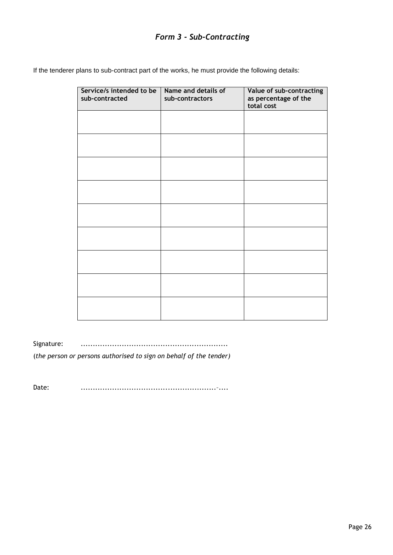# *Form 3 - Sub-Contracting*

If the tenderer plans to sub-contract part of the works, he must provide the following details:

| Service/s intended to be<br>sub-contracted | Name and details of<br>sub-contractors | Value of sub-contracting<br>as percentage of the<br>total cost |
|--------------------------------------------|----------------------------------------|----------------------------------------------------------------|
|                                            |                                        |                                                                |
|                                            |                                        |                                                                |
|                                            |                                        |                                                                |
|                                            |                                        |                                                                |
|                                            |                                        |                                                                |
|                                            |                                        |                                                                |
|                                            |                                        |                                                                |
|                                            |                                        |                                                                |
|                                            |                                        |                                                                |

Signature: .............................................................

(*the person or persons authorised to sign on behalf of the tender)*

Date: ........................................................–....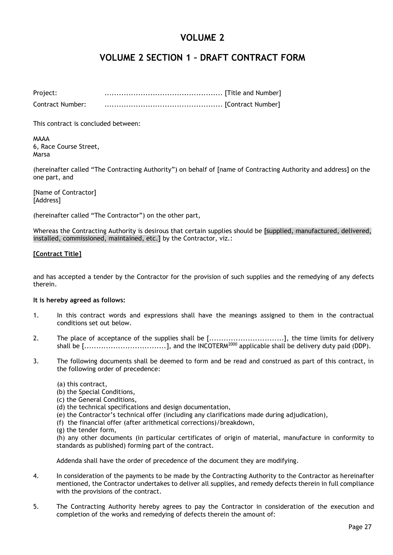# **VOLUME 2**

# **VOLUME 2 SECTION 1 – DRAFT CONTRACT FORM**

Project: ................................................. [Title and Number]

Contract Number: ................................................. [Contract Number]

This contract is concluded between:

MAAA 6, Race Course Street, Marsa

(hereinafter called "The Contracting Authority") on behalf of [name of Contracting Authority and address] on the one part, and

[Name of Contractor] [Address]

(hereinafter called "The Contractor") on the other part,

Whereas the Contracting Authority is desirous that certain supplies should be [supplied, manufactured, delivered, installed, commissioned, maintained, etc.] by the Contractor, viz.:

#### **[Contract Title]**

and has accepted a tender by the Contractor for the provision of such supplies and the remedying of any defects therein.

#### **It is hereby agreed as follows:**

- 1. In this contract words and expressions shall have the meanings assigned to them in the contractual conditions set out below.
- 2. The place of acceptance of the supplies shall be [................................], the time limits for delivery shall be [.................................], and the INCOTERM<sup>2000</sup> applicable shall be delivery duty paid (DDP).
- 3. The following documents shall be deemed to form and be read and construed as part of this contract, in the following order of precedence:
	- (a) this contract,
	- (b) the Special Conditions,
	- (c) the General Conditions,
	- (d) the technical specifications and design documentation,
	- (e) the Contractor's technical offer (including any clarifications made during adjudication),
	- (f) the financial offer (after arithmetical corrections)/breakdown,
	- (g) the tender form,

(h) any other documents (in particular certificates of origin of material, manufacture in conformity to standards as published) forming part of the contract.

Addenda shall have the order of precedence of the document they are modifying.

- 4. In consideration of the payments to be made by the Contracting Authority to the Contractor as hereinafter mentioned, the Contractor undertakes to deliver all supplies, and remedy defects therein in full compliance with the provisions of the contract.
- 5. The Contracting Authority hereby agrees to pay the Contractor in consideration of the execution and completion of the works and remedying of defects therein the amount of: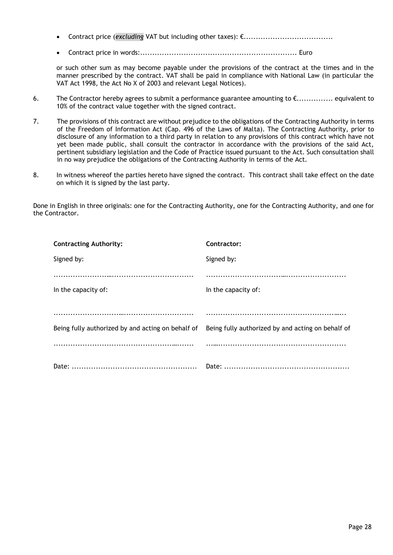- Contract price (*excluding* VAT but including other taxes): €.....................................
- Contract price in words:................................................................. Euro

or such other sum as may become payable under the provisions of the contract at the times and in the manner prescribed by the contract. VAT shall be paid in compliance with National Law (in particular the VAT Act 1998, the Act No X of 2003 and relevant Legal Notices).

- 6. The Contractor hereby agrees to submit a performance guarantee amounting to €............... equivalent to 10% of the contract value together with the signed contract.
- 7. The provisions of this contract are without prejudice to the obligations of the Contracting Authority in terms of the Freedom of Information Act (Cap. 496 of the Laws of Malta). The Contracting Authority, prior to disclosure of any information to a third party in relation to any provisions of this contract which have not yet been made public, shall consult the contractor in accordance with the provisions of the said Act, pertinent subsidiary legislation and the Code of Practice issued pursuant to the Act. Such consultation shall in no way prejudice the obligations of the Contracting Authority in terms of the Act.
- 8. In witness whereof the parties hereto have signed the contract. This contract shall take effect on the date on which it is signed by the last party.

Done in English in three originals: one for the Contracting Authority, one for the Contracting Authority, and one for the Contractor.

| Contractor:                                       |
|---------------------------------------------------|
| Signed by:                                        |
|                                                   |
| In the capacity of:                               |
|                                                   |
|                                                   |
| Being fully authorized by and acting on behalf of |
|                                                   |
|                                                   |
|                                                   |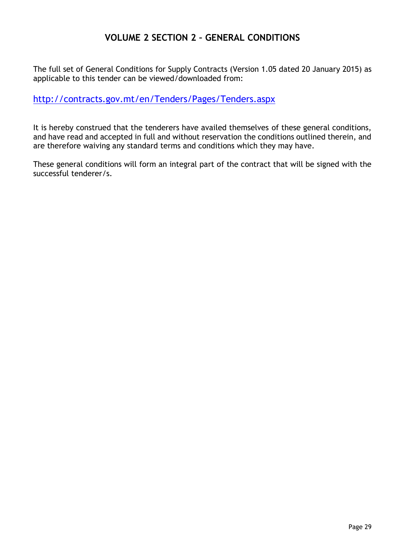# **VOLUME 2 SECTION 2 – GENERAL CONDITIONS**

The full set of General Conditions for Supply Contracts (Version 1.05 dated 20 January 2015) as applicable to this tender can be viewed/downloaded from:

# <http://contracts.gov.mt/en/Tenders/Pages/Tenders.aspx>

It is hereby construed that the tenderers have availed themselves of these general conditions, and have read and accepted in full and without reservation the conditions outlined therein, and are therefore waiving any standard terms and conditions which they may have.

These general conditions will form an integral part of the contract that will be signed with the successful tenderer/s.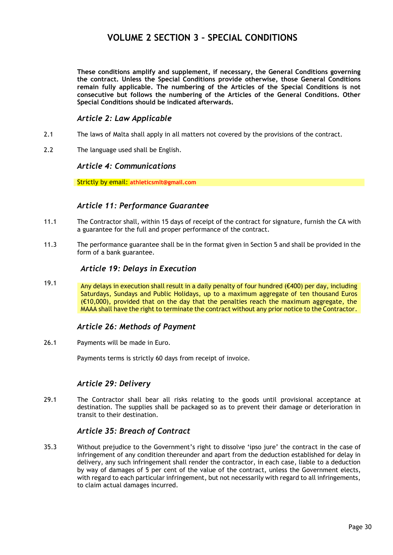# **VOLUME 2 SECTION 3 – SPECIAL CONDITIONS**

**These conditions amplify and supplement, if necessary, the General Conditions governing the contract. Unless the Special Conditions provide otherwise, those General Conditions remain fully applicable. The numbering of the Articles of the Special Conditions is not consecutive but follows the numbering of the Articles of the General Conditions. Other Special Conditions should be indicated afterwards.**

#### *Article 2: Law Applicable*

- 2.1 The laws of Malta shall apply in all matters not covered by the provisions of the contract.
- 2.2 The language used shall be English.

#### *Article 4: Communications*

Strictly by email: **athleticsmlt@gmail.com**

### *Article 11: Performance Guarantee*

- 11.1 The Contractor shall, within 15 days of receipt of the contract for signature, furnish the CA with a guarantee for the full and proper performance of the contract.
- 11.3 The performance guarantee shall be in the format given in Section 5 and shall be provided in the form of a bank guarantee.

#### *Article 19: Delays in Execution*

19.1 Any delays in execution shall result in a daily penalty of four hundred ( $\epsilon$ 400) per day, including Saturdays, Sundays and Public Holidays, up to a maximum aggregate of ten thousand Euros  $(E10,000)$ , provided that on the day that the penalties reach the maximum aggregate, the MAAA shall have the right to terminate the contract without any prior notice to the Contractor.

#### *Article 26: Methods of Payment*

26.1 Payments will be made in Euro.

Payments terms is strictly 60 days from receipt of invoice.

### *Article 29: Delivery*

29.1 The Contractor shall bear all risks relating to the goods until provisional acceptance at destination. The supplies shall be packaged so as to prevent their damage or deterioration in transit to their destination.

### *Article 35: Breach of Contract*

35.3 Without prejudice to the Government's right to dissolve 'ipso jure' the contract in the case of infringement of any condition thereunder and apart from the deduction established for delay in delivery, any such infringement shall render the contractor, in each case, liable to a deduction by way of damages of 5 per cent of the value of the contract, unless the Government elects, with regard to each particular infringement, but not necessarily with regard to all infringements, to claim actual damages incurred.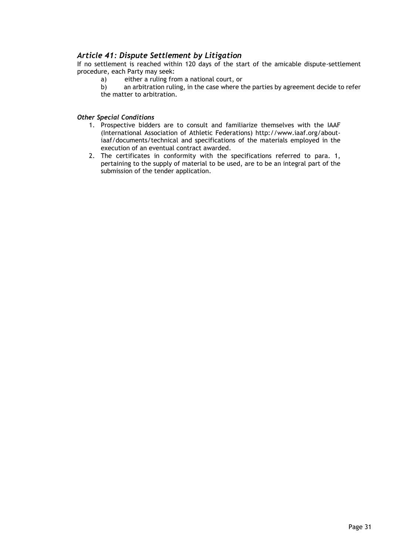# *Article 41: Dispute Settlement by Litigation*

If no settlement is reached within 120 days of the start of the amicable dispute-settlement procedure, each Party may seek:

- a) either a ruling from a national court, or
- b) an arbitration ruling, in the case where the parties by agreement decide to refer the matter to arbitration.

### *Other Special Conditions*

- 1. Prospective bidders are to consult and familiarize themselves with the IAAF (International Association of Athletic Federations) [http://www.iaaf.org/about](http://www.iaaf.org/about-iaaf/documents/technical)[iaaf/documents/technical](http://www.iaaf.org/about-iaaf/documents/technical) and specifications of the materials employed in the execution of an eventual contract awarded.
- 2. The certificates in conformity with the specifications referred to para. 1, pertaining to the supply of material to be used, are to be an integral part of the submission of the tender application.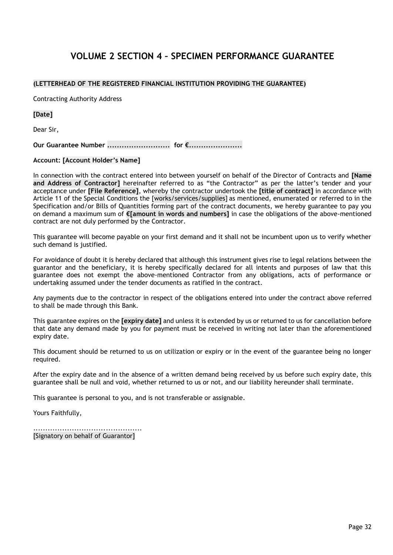# **VOLUME 2 SECTION 4 – SPECIMEN PERFORMANCE GUARANTEE**

#### **(LETTERHEAD OF THE REGISTERED FINANCIAL INSTITUTION PROVIDING THE GUARANTEE)**

Contracting Authority Address

**[Date]**

Dear Sir,

**Our Guarantee Number .......................... for €......................**

#### **Account: [Account Holder's Name]**

In connection with the contract entered into between yourself on behalf of the Director of Contracts and **[Name and Address of Contractor]** hereinafter referred to as "the Contractor" as per the latter's tender and your acceptance under **[File Reference]**, whereby the contractor undertook the **[title of contract]** in accordance with Article 11 of the Special Conditions the [works/services/supplies] as mentioned, enumerated or referred to in the Specification and/or Bills of Quantities forming part of the contract documents, we hereby guarantee to pay you on demand a maximum sum of **€[amount in words and numbers]** in case the obligations of the above-mentioned contract are not duly performed by the Contractor.

This guarantee will become payable on your first demand and it shall not be incumbent upon us to verify whether such demand is justified.

For avoidance of doubt it is hereby declared that although this instrument gives rise to legal relations between the guarantor and the beneficiary, it is hereby specifically declared for all intents and purposes of law that this guarantee does not exempt the above-mentioned Contractor from any obligations, acts of performance or undertaking assumed under the tender documents as ratified in the contract.

Any payments due to the contractor in respect of the obligations entered into under the contract above referred to shall be made through this Bank.

This guarantee expires on the **[expiry date]** and unless it is extended by us or returned to us for cancellation before that date any demand made by you for payment must be received in writing not later than the aforementioned expiry date.

This document should be returned to us on utilization or expiry or in the event of the guarantee being no longer required.

After the expiry date and in the absence of a written demand being received by us before such expiry date, this guarantee shall be null and void, whether returned to us or not, and our liability hereunder shall terminate.

This guarantee is personal to you, and is not transferable or assignable.

Yours Faithfully,

............................................. [Signatory on behalf of Guarantor]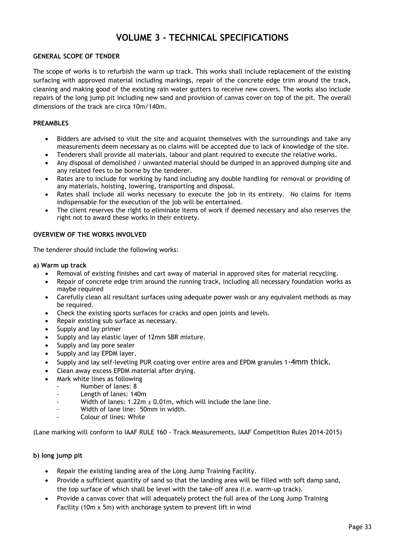# **VOLUME 3 - TECHNICAL SPECIFICATIONS**

#### **GENERAL SCOPE OF TENDER**

The scope of works is to refurbish the warm up track. This works shall include replacement of the existing surfacing with approved material including markings, repair of the concrete edge trim around the track, cleaning and making good of the existing rain water gutters to receive new covers. The works also include repairs of the long jump pit including new sand and provision of canvas cover on top of the pit. The overall dimensions of the track are circa 10m/140m.

#### **PREAMBLES**

- Bidders are advised to visit the site and acquaint themselves with the surroundings and take any measurements deem necessary as no claims will be accepted due to lack of knowledge of the site.
- Tenderers shall provide all materials, labour and plant required to execute the relative works.
- Any disposal of demolished / unwanted material should be dumped in an approved dumping site and any related fees to be borne by the tenderer.
- Rates are to include for working by hand including any double handling for removal or providing of any materials, hoisting, lowering, transporting and disposal.
- Rates shall include all works necessary to execute the job in its entirety. No claims for items indispensable for the execution of the job will be entertained.
- The client reserves the right to eliminate items of work if deemed necessary and also reserves the right not to award these works in their entirety.

#### **OVERVIEW OF THE WORKS INVOLVED**

The tenderer should include the following works:

#### **a) Warm up track**

- Removal of existing finishes and cart away of material in approved sites for material recycling.
- Repair of concrete edge trim around the running track, including all necessary foundation works as maybe required
- Carefully clean all resultant surfaces using adequate power wash or any equivalent methods as may be required.
- Check the existing sports surfaces for cracks and open joints and levels.
- Repair existing sub surface as necessary.
- Supply and lay primer
- Supply and lay elastic layer of 12mm SBR mixture.
- Supply and lay pore sealer
- Supply and lay EPDM layer.
- Supply and lay self-leveling PUR coating over entire area and EPDM granules 1-4mm thick.
- Clean away excess EPDM material after drying.
- Mark white lines as following
	- Number of lanes: 8
		- Length of lanes: 140m
		- Width of lanes:  $1.22m \pm 0.01m$ , which will include the lane line.
		- Width of lane line: 50mm in width.
		- Colour of lines: White

(Lane marking will conform to IAAF RULE 160 - Track Measurements, IAAF Competition Rules 2014-2015)

#### **b) long jump pit**

- Repair the existing landing area of the Long Jump Training Facility.
- Provide a sufficient quantity of sand so that the landing area will be filled with soft damp sand, the top surface of which shall be level with the take-off area (i.e. warm-up track).
- Provide a canvas cover that will adequately protect the full area of the Long Jump Training Facility (10m x 5m) with anchorage system to prevent lift in wind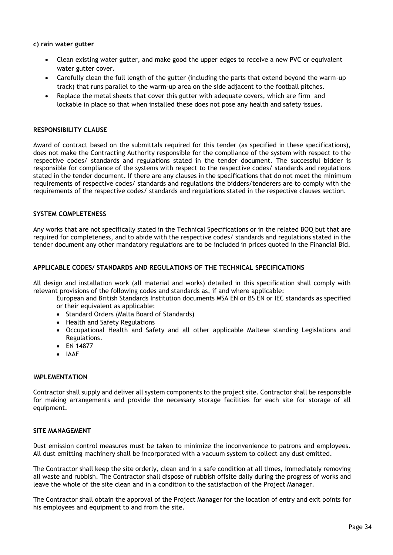#### **c) rain water gutter**

- Clean existing water gutter, and make good the upper edges to receive a new PVC or equivalent water gutter cover.
- Carefully clean the full length of the gutter (including the parts that extend beyond the warm-up track) that runs parallel to the warm-up area on the side adjacent to the football pitches.
- Replace the metal sheets that cover this gutter with adequate covers, which are firm and lockable in place so that when installed these does not pose any health and safety issues.

#### **RESPONSIBILITY CLAUSE**

Award of contract based on the submittals required for this tender (as specified in these specifications), does not make the Contracting Authority responsible for the compliance of the system with respect to the respective codes/ standards and regulations stated in the tender document. The successful bidder is responsible for compliance of the systems with respect to the respective codes/ standards and regulations stated in the tender document. If there are any clauses in the specifications that do not meet the minimum requirements of respective codes/ standards and regulations the bidders/tenderers are to comply with the requirements of the respective codes/ standards and regulations stated in the respective clauses section.

#### **SYSTEM COMPLETENESS**

Any works that are not specifically stated in the Technical Specifications or in the related BOQ but that are required for completeness, and to abide with the respective codes/ standards and regulations stated in the tender document any other mandatory regulations are to be included in prices quoted in the Financial Bid.

#### **APPLICABLE CODES/ STANDARDS AND REGULATIONS OF THE TECHNICAL SPECIFICATIONS**

All design and installation work (all material and works) detailed in this specification shall comply with relevant provisions of the following codes and standards as, if and where applicable:

- European and British Standards Institution documents MSA EN or BS EN or IEC standards as specified or their equivalent as applicable:
- Standard Orders (Malta Board of Standards)
- Health and Safety Regulations
- Occupational Health and Safety and all other applicable Maltese standing Legislations and Regulations.
- EN 14877
- IAAF

#### **IMPLEMENTATION**

Contractor shall supply and deliver all system components to the project site. Contractor shall be responsible for making arrangements and provide the necessary storage facilities for each site for storage of all equipment.

#### **SITE MANAGEMENT**

Dust emission control measures must be taken to minimize the inconvenience to patrons and employees. All dust emitting machinery shall be incorporated with a vacuum system to collect any dust emitted.

The Contractor shall keep the site orderly, clean and in a safe condition at all times, immediately removing all waste and rubbish. The Contractor shall dispose of rubbish offsite daily during the progress of works and leave the whole of the site clean and in a condition to the satisfaction of the Project Manager.

The Contractor shall obtain the approval of the Project Manager for the location of entry and exit points for his employees and equipment to and from the site.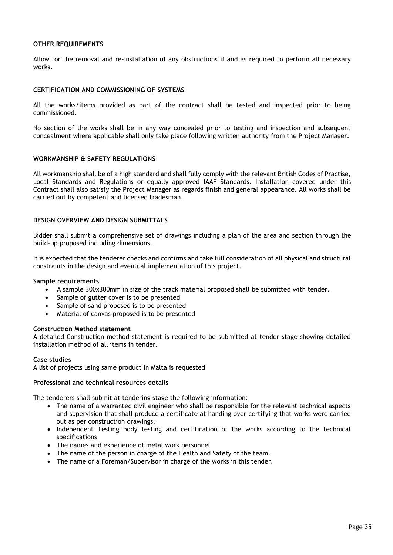#### **OTHER REQUIREMENTS**

Allow for the removal and re-installation of any obstructions if and as required to perform all necessary works.

#### **CERTIFICATION AND COMMISSIONING OF SYSTEMS**

All the works/items provided as part of the contract shall be tested and inspected prior to being commissioned.

No section of the works shall be in any way concealed prior to testing and inspection and subsequent concealment where applicable shall only take place following written authority from the Project Manager.

#### **WORKMANSHIP & SAFETY REGULATIONS**

All workmanship shall be of a high standard and shall fully comply with the relevant British Codes of Practise, Local Standards and Regulations or equally approved IAAF Standards. Installation covered under this Contract shall also satisfy the Project Manager as regards finish and general appearance. All works shall be carried out by competent and licensed tradesman.

#### **DESIGN OVERVIEW AND DESIGN SUBMITTALS**

Bidder shall submit a comprehensive set of drawings including a plan of the area and section through the build-up proposed including dimensions.

It is expected that the tenderer checks and confirms and take full consideration of all physical and structural constraints in the design and eventual implementation of this project.

#### **Sample requirements**

- A sample 300x300mm in size of the track material proposed shall be submitted with tender.
- Sample of gutter cover is to be presented
- Sample of sand proposed is to be presented
- Material of canvas proposed is to be presented

#### **Construction Method statement**

A detailed Construction method statement is required to be submitted at tender stage showing detailed installation method of all items in tender.

#### **Case studies**

A list of projects using same product in Malta is requested

#### **Professional and technical resources details**

The tenderers shall submit at tendering stage the following information:

- The name of a warranted civil engineer who shall be responsible for the relevant technical aspects and supervision that shall produce a certificate at handing over certifying that works were carried out as per construction drawings.
- Independent Testing body testing and certification of the works according to the technical specifications
- The names and experience of metal work personnel
- The name of the person in charge of the Health and Safety of the team.
- The name of a Foreman/Supervisor in charge of the works in this tender.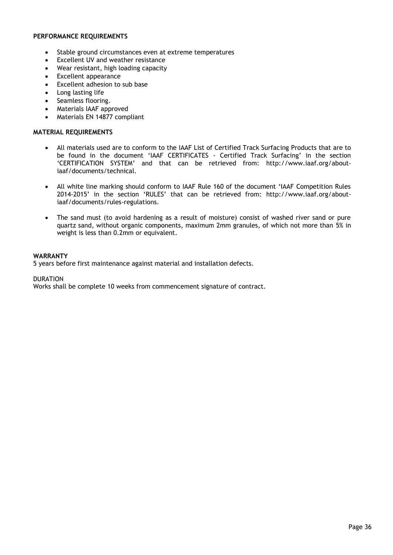#### **PERFORMANCE REQUIREMENTS**

- Stable ground circumstances even at extreme temperatures
- Excellent UV and weather resistance
- Wear resistant, high loading capacity
- Excellent appearance
- Excellent adhesion to sub base
- Long lasting life
- Seamless flooring.
- Materials IAAF approved
- Materials EN 14877 compliant

#### **MATERIAL REQUIREMENTS**

- All materials used are to conform to the IAAF List of Certified Track Surfacing Products that are to be found in the document 'IAAF CERTIFICATES - Certified Track Surfacing' in the section 'CERTIFICATION SYSTEM' and that can be retrieved from: [http://www.iaaf.org/about](http://www.iaaf.org/about-iaaf/documents/technical)[iaaf/documents/technical.](http://www.iaaf.org/about-iaaf/documents/technical)
- All white line marking should conform to IAAF Rule 160 of the document 'IAAF Competition Rules 2014-2015' in the section 'RULES' that can be retrieved from: [http://www.iaaf.org/about](http://www.iaaf.org/about-iaaf/documents/rules-regulations)[iaaf/documents/rules-regulations.](http://www.iaaf.org/about-iaaf/documents/rules-regulations)
- The sand must (to avoid hardening as a result of moisture) consist of washed river sand or pure quartz sand, without organic components, maximum 2mm granules, of which not more than 5% in weight is less than 0.2mm or equivalent.

#### **WARRANTY**

5 years before first maintenance against material and installation defects.

DURATION

Works shall be complete 10 weeks from commencement signature of contract.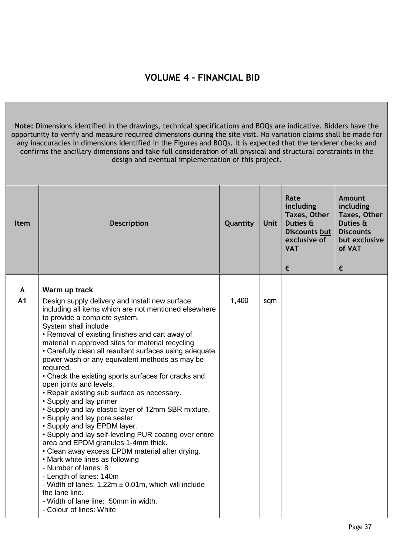# **VOLUME 4 - FINANCIAL BID**

**Note:** Dimensions identified in the drawings, technical specifications and BOQs are indicative. Bidders have the opportunity to verify and measure required dimensions during the site visit. No variation claims shall be made for any inaccuracies in dimensions identified in the Figures and BOQs. It is expected that the tenderer checks and confirms the ancillary dimensions and take full consideration of all physical and structural constraints in the design and eventual implementation of this project.

| <b>Item</b>    | <b>Description</b>                                                                                                                                                                                                                                                                                                                                                                                                                                                                                                                                                                                                                                                                                                                                                                                                                                                                                                                                                                                                                                                                | Quantity | Unit | Rate<br>including<br>Taxes, Other<br>Duties &<br><b>Discounts but</b><br>exclusive of<br><b>VAT</b><br>€ | <b>Amount</b><br>including<br>Taxes, Other<br>Duties &<br><b>Discounts</b><br>but exclusive<br>of VAT<br>€ |
|----------------|-----------------------------------------------------------------------------------------------------------------------------------------------------------------------------------------------------------------------------------------------------------------------------------------------------------------------------------------------------------------------------------------------------------------------------------------------------------------------------------------------------------------------------------------------------------------------------------------------------------------------------------------------------------------------------------------------------------------------------------------------------------------------------------------------------------------------------------------------------------------------------------------------------------------------------------------------------------------------------------------------------------------------------------------------------------------------------------|----------|------|----------------------------------------------------------------------------------------------------------|------------------------------------------------------------------------------------------------------------|
| A              | Warm up track                                                                                                                                                                                                                                                                                                                                                                                                                                                                                                                                                                                                                                                                                                                                                                                                                                                                                                                                                                                                                                                                     |          |      |                                                                                                          |                                                                                                            |
| A <sub>1</sub> | Design supply delivery and install new surface<br>including all items which are not mentioned elsewhere<br>to provide a complete system.<br>System shall include<br>• Removal of existing finishes and cart away of<br>material in approved sites for material recycling<br>• Carefully clean all resultant surfaces using adequate<br>power wash or any equivalent methods as may be<br>required.<br>• Check the existing sports surfaces for cracks and<br>open joints and levels.<br>• Repair existing sub surface as necessary.<br>• Supply and lay primer<br>• Supply and lay elastic layer of 12mm SBR mixture.<br>• Supply and lay pore sealer<br>• Supply and lay EPDM layer.<br>• Supply and lay self-leveling PUR coating over entire<br>area and EPDM granules 1-4mm thick.<br>• Clean away excess EPDM material after drying.<br>• Mark white lines as following<br>- Number of lanes: 8<br>- Length of lanes: 140m<br>- Width of lanes: $1.22m \pm 0.01m$ , which will include<br>the lane line.<br>- Width of lane line: 50mm in width.<br>- Colour of lines: White | 1,400    | sqm  |                                                                                                          |                                                                                                            |

Page 37